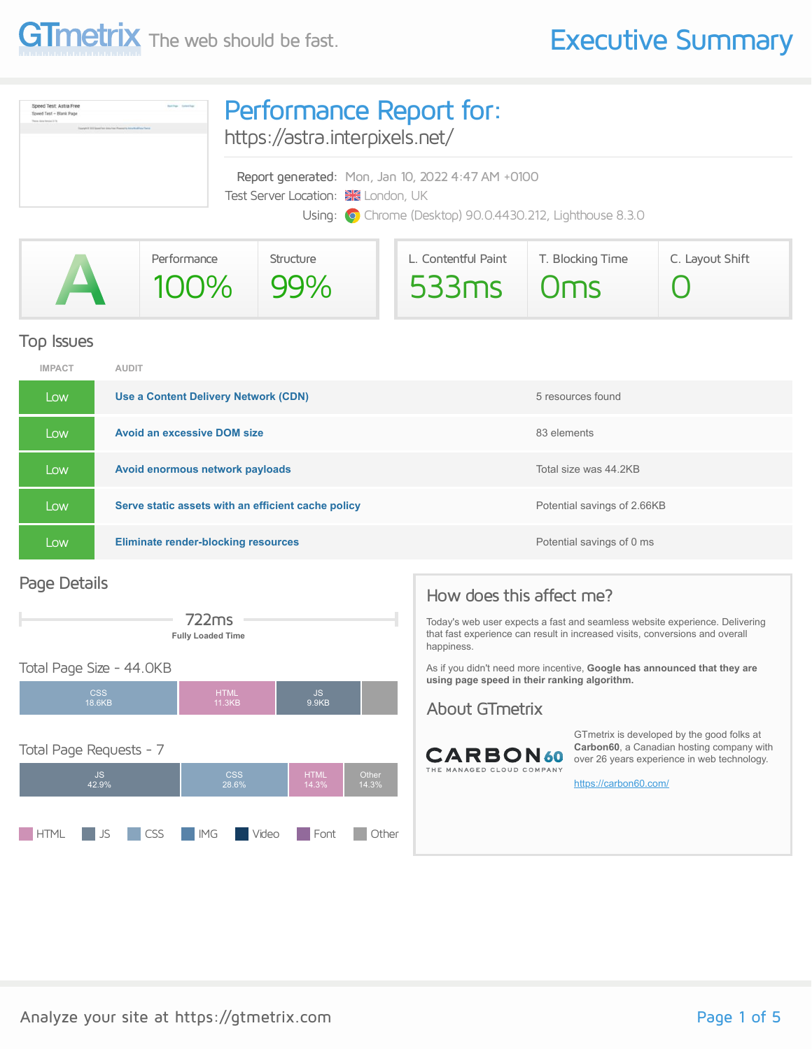

| Speed Test: Astra Free<br>Speed Test - Blank Page<br>Theorem Autor Herminel & F.A.<br>Traumph 4 333 Second Text (dotto Pape ) Progress to Annu Munitirum Theiro | Performance Report for:<br>https://astra.interpixels.net/                                                                                             |  |  |  |
|-----------------------------------------------------------------------------------------------------------------------------------------------------------------|-------------------------------------------------------------------------------------------------------------------------------------------------------|--|--|--|
|                                                                                                                                                                 | Report generated: Mon, Jan 10, 2022 4:47 AM +0100<br>Test Server Location: XX London, UK<br>Using: O Chrome (Desktop) 90.0.4430.212, Lighthouse 8.3.0 |  |  |  |

|  | Performance | Structure | L. Contentful Paint | T. Blocking Time | C. Layout Shift |
|--|-------------|-----------|---------------------|------------------|-----------------|
|  | 100% 99%    |           | 533ms Oms           |                  |                 |

#### Top Issues

| <b>IMPACT</b> | <b>AUDIT</b>                                       |                             |
|---------------|----------------------------------------------------|-----------------------------|
| Low           | Use a Content Delivery Network (CDN)               | 5 resources found           |
| Low           | <b>Avoid an excessive DOM size</b>                 | 83 elements                 |
| Low           | Avoid enormous network payloads                    | Total size was 44.2KB       |
| Low           | Serve static assets with an efficient cache policy | Potential savings of 2.66KB |
| Low           | <b>Eliminate render-blocking resources</b>         | Potential savings of 0 ms   |

#### Page Details



#### Total Page Size - 44.0KB



### How does this affect me?

Today's web user expects a fast and seamless website experience. Delivering that fast experience can result in increased visits, conversions and overall happiness.

As if you didn't need more incentive, **Google has announced that they are using page speed in their ranking algorithm.**

#### About GTmetrix



GTmetrix is developed by the good folks at **Carbon60**, a Canadian hosting company with over 26 years experience in web technology.

<https://carbon60.com/>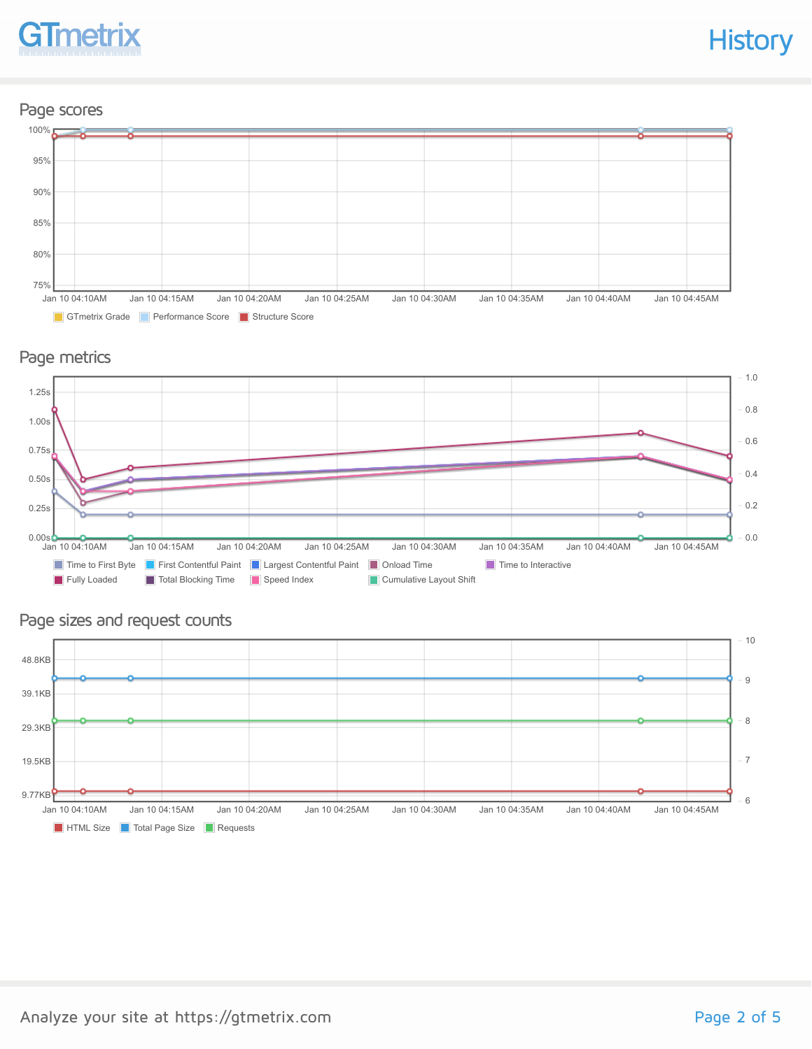

#### Page scores



#### Page metrics



#### Page sizes and request counts

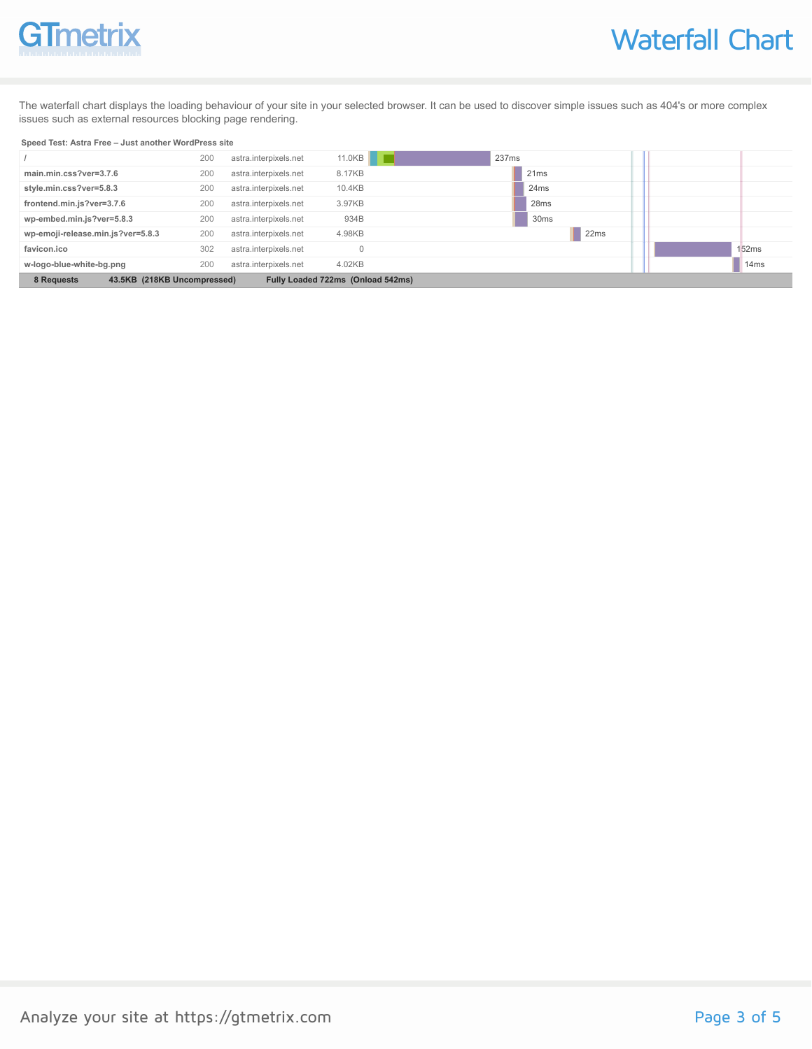# GTmetrix

The waterfall chart displays the loading behaviour of your site in your selected browser. It can be used to discover simple issues such as 404's or more complex issues such as external resources blocking page rendering.

#### **Speed Test: Astra Free – Just another WordPress site**

|                                                                                | 200 | astra.interpixels.net | 11.0KB | 237ms            |                  |
|--------------------------------------------------------------------------------|-----|-----------------------|--------|------------------|------------------|
| main.min.css?ver=3.7.6                                                         | 200 | astra.interpixels.net | 8.17KB | 21ms             |                  |
| style.min.css?ver=5.8.3                                                        | 200 | astra.interpixels.net | 10.4KB | 24 <sub>ms</sub> |                  |
| frontend.min.js?ver=3.7.6                                                      | 200 | astra.interpixels.net | 3.97KB | 28 <sub>ms</sub> |                  |
| wp-embed.min.js?ver=5.8.3                                                      | 200 | astra.interpixels.net | 934B   | 30 <sub>ms</sub> |                  |
| wp-emoji-release.min.js?ver=5.8.3                                              | 200 | astra.interpixels.net | 4.98KB | 22ms             |                  |
| favicon.ico                                                                    | 302 | astra.interpixels.net |        |                  | 152ms            |
| w-logo-blue-white-bg.png                                                       | 200 | astra.interpixels.net | 4.02KB |                  | 14 <sub>ms</sub> |
| 43.5KB (218KB Uncompressed)<br>Fully Loaded 722ms (Onload 542ms)<br>8 Requests |     |                       |        |                  |                  |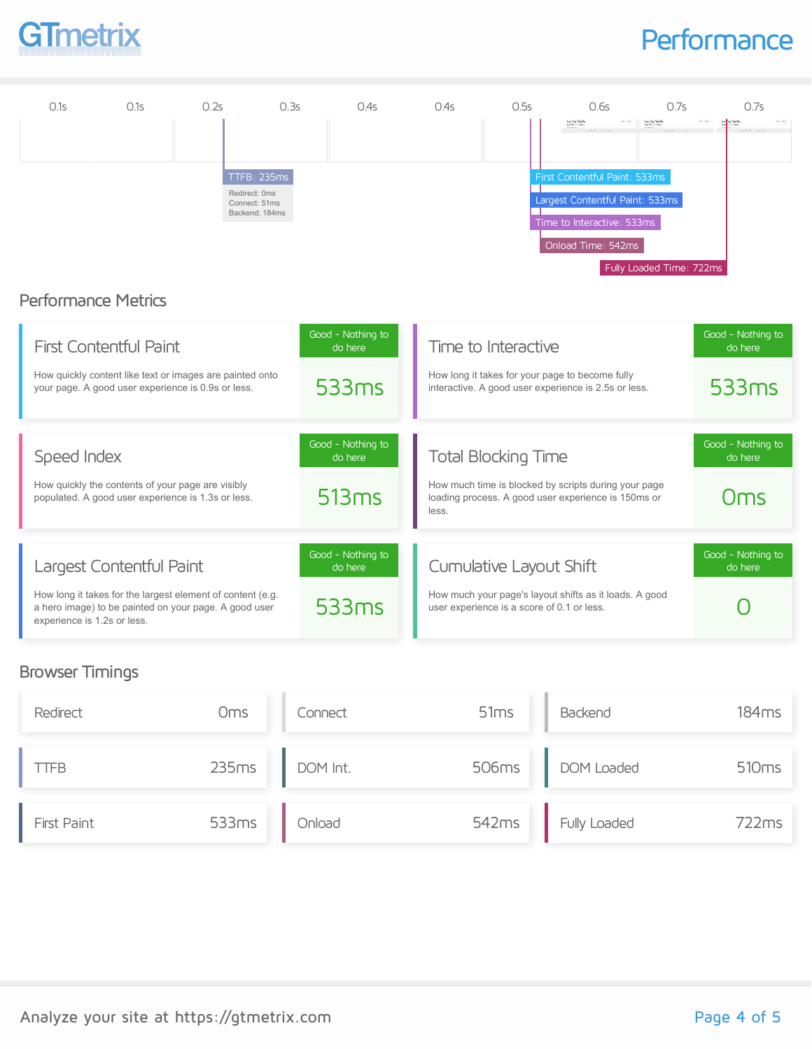

### **Performance**



#### Browser Timings

| Redirect    | Oms   | Connect  | 51ms  | Backend          | 184 <sub>ms</sub> |
|-------------|-------|----------|-------|------------------|-------------------|
| <b>TTFB</b> | 235ms | DOM Int. |       | 506ms DOM Loaded | 510 <sub>ms</sub> |
| First Paint | 533ms | Onload   | 542ms | Fully Loaded     | 722ms             |